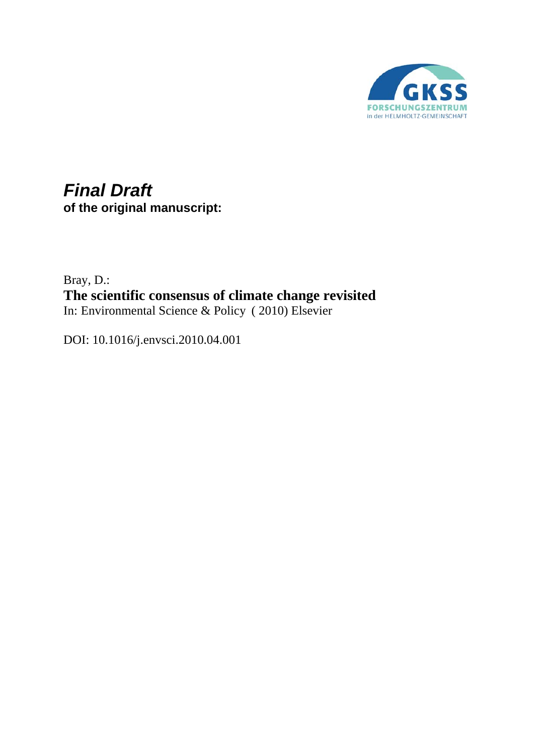

# *Final Draft* **of the original manuscript:**

Bray, D.: **The scientific consensus of climate change revisited**  In: Environmental Science & Policy ( 2010) Elsevier

DOI: 10.1016/j.envsci.2010.04.001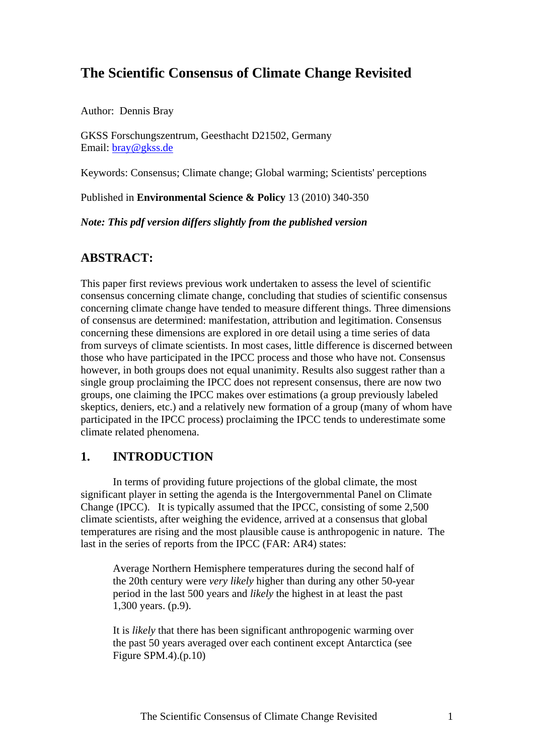## **The Scientific Consensus of Climate Change Revisited**

Author: Dennis Bray

GKSS Forschungszentrum, Geesthacht D21502, Germany Email: [bray@gkss.de](mailto:bray@gkss.de)

Keywords: Consensus; Climate change; Global warming; Scientists' perceptions

Published in **Environmental Science & Policy** 13 (2010) 340-350

*Note: This pdf version differs slightly from the published version* 

## **ABSTRACT:**

This paper first reviews previous work undertaken to assess the level of scientific consensus concerning climate change, concluding that studies of scientific consensus concerning climate change have tended to measure different things. Three dimensions of consensus are determined: manifestation, attribution and legitimation. Consensus concerning these dimensions are explored in ore detail using a time series of data from surveys of climate scientists. In most cases, little difference is discerned between those who have participated in the IPCC process and those who have not. Consensus however, in both groups does not equal unanimity. Results also suggest rather than a single group proclaiming the IPCC does not represent consensus, there are now two groups, one claiming the IPCC makes over estimations (a group previously labeled skeptics, deniers, etc.) and a relatively new formation of a group (many of whom have participated in the IPCC process) proclaiming the IPCC tends to underestimate some climate related phenomena.

## **1. INTRODUCTION**

 In terms of providing future projections of the global climate, the most significant player in setting the agenda is the Intergovernmental Panel on Climate Change (IPCC). It is typically assumed that the IPCC, consisting of some 2,500 climate scientists, after weighing the evidence, arrived at a consensus that global temperatures are rising and the most plausible cause is anthropogenic in nature. The last in the series of reports from the IPCC (FAR: AR4) states:

Average Northern Hemisphere temperatures during the second half of the 20th century were *very likely* higher than during any other 50-year period in the last 500 years and *likely* the highest in at least the past 1,300 years. (p.9).

It is *likely* that there has been significant anthropogenic warming over the past 50 years averaged over each continent except Antarctica (see Figure SPM.4).(p.10)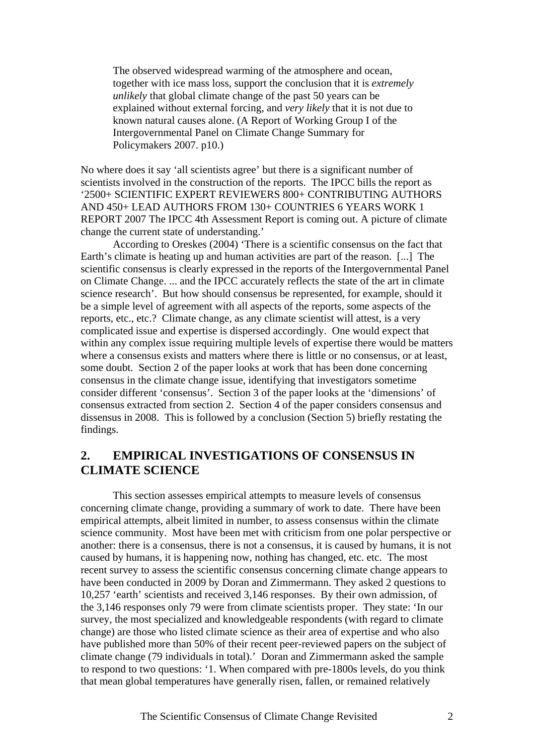The observed widespread warming of the atmosphere and ocean, together with ice mass loss, support the conclusion that it is *extremely unlikely* that global climate change of the past 50 years can be explained without external forcing, and *very likely* that it is not due to known natural causes alone. (A Report of Working Group I of the Intergovernmental Panel on Climate Change Summary for Policymakers 2007. p10.)

No where does it say 'all scientists agree' but there is a significant number of scientists involved in the construction of the reports. The IPCC bills the report as '2500+ SCIENTIFIC EXPERT REVIEWERS 800+ CONTRIBUTING AUTHORS AND 450+ LEAD AUTHORS FROM 130+ COUNTRIES 6 YEARS WORK 1 REPORT 2007 The IPCC 4th Assessment Report is coming out. A picture of climate change the current state of understanding.'

 According to Oreskes (2004) 'There is a scientific consensus on the fact that Earth's climate is heating up and human activities are part of the reason. [...] The scientific consensus is clearly expressed in the reports of the Intergovernmental Panel on Climate Change. ... and the IPCC accurately reflects the state of the art in climate science research'. But how should consensus be represented, for example, should it be a simple level of agreement with all aspects of the reports, some aspects of the reports, etc., etc.? Climate change, as any climate scientist will attest, is a very complicated issue and expertise is dispersed accordingly. One would expect that within any complex issue requiring multiple levels of expertise there would be matters where a consensus exists and matters where there is little or no consensus, or at least, some doubt. Section 2 of the paper looks at work that has been done concerning consensus in the climate change issue, identifying that investigators sometime consider different 'consensus'. Section 3 of the paper looks at the 'dimensions' of consensus extracted from section 2. Section 4 of the paper considers consensus and dissensus in 2008. This is followed by a conclusion (Section 5) briefly restating the findings.

## **2. EMPIRICAL INVESTIGATIONS OF CONSENSUS IN CLIMATE SCIENCE**

 This section assesses empirical attempts to measure levels of consensus concerning climate change, providing a summary of work to date. There have been empirical attempts, albeit limited in number, to assess consensus within the climate science community. Most have been met with criticism from one polar perspective or another: there is a consensus, there is not a consensus, it is caused by humans, it is not caused by humans, it is happening now, nothing has changed, etc. etc. The most recent survey to assess the scientific consensus concerning climate change appears to have been conducted in 2009 by Doran and Zimmermann. They asked 2 questions to 10,257 'earth' scientists and received 3,146 responses. By their own admission, of the 3,146 responses only 79 were from climate scientists proper. They state: 'In our survey, the most specialized and knowledgeable respondents (with regard to climate change) are those who listed climate science as their area of expertise and who also have published more than 50% of their recent peer-reviewed papers on the subject of climate change (79 individuals in total).' Doran and Zimmermann asked the sample to respond to two questions: '1. When compared with pre-1800s levels, do you think that mean global temperatures have generally risen, fallen, or remained relatively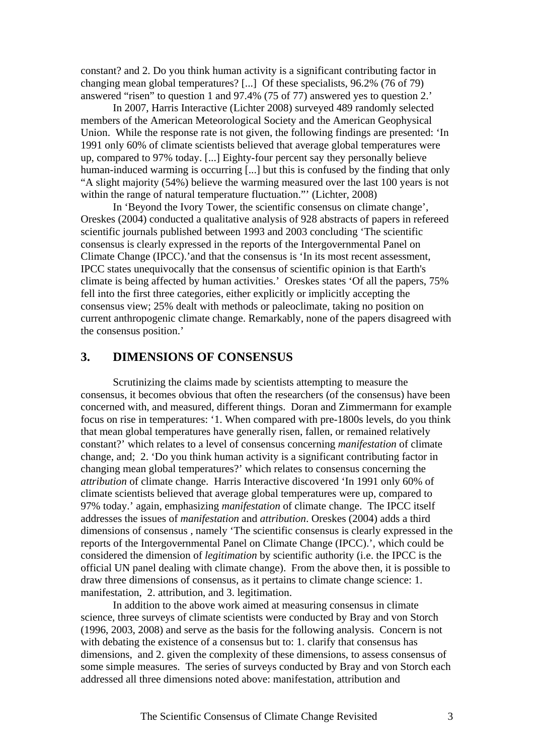constant? and 2. Do you think human activity is a significant contributing factor in changing mean global temperatures? [...] Of these specialists, 96.2% (76 of 79) answered "risen" to question 1 and 97.4% (75 of 77) answered yes to question 2.'

 In 2007, Harris Interactive (Lichter 2008) surveyed 489 randomly selected members of the American Meteorological Society and the American Geophysical Union. While the response rate is not given, the following findings are presented: 'In 1991 only 60% of climate scientists believed that average global temperatures were up, compared to 97% today. [...] Eighty-four percent say they personally believe human-induced warming is occurring [...] but this is confused by the finding that only "A slight majority (54%) believe the warming measured over the last 100 years is not within the range of natural temperature fluctuation."' (Lichter, 2008)

 In 'Beyond the Ivory Tower, the scientific consensus on climate change', Oreskes (2004) conducted a qualitative analysis of 928 abstracts of papers in refereed scientific journals published between 1993 and 2003 concluding 'The scientific consensus is clearly expressed in the reports of the Intergovernmental Panel on Climate Change (IPCC).'and that the consensus is 'In its most recent assessment, IPCC states unequivocally that the consensus of scientific opinion is that Earth's climate is being affected by human activities.' Oreskes states 'Of all the papers, 75% fell into the first three categories, either explicitly or implicitly accepting the consensus view; 25% dealt with methods or paleoclimate, taking no position on current anthropogenic climate change. Remarkably, none of the papers disagreed with the consensus position.'

#### **3. DIMENSIONS OF CONSENSUS**

 Scrutinizing the claims made by scientists attempting to measure the consensus, it becomes obvious that often the researchers (of the consensus) have been concerned with, and measured, different things. Doran and Zimmermann for example focus on rise in temperatures: '1. When compared with pre-1800s levels, do you think that mean global temperatures have generally risen, fallen, or remained relatively constant?' which relates to a level of consensus concerning *manifestation* of climate change, and; 2. 'Do you think human activity is a significant contributing factor in changing mean global temperatures?' which relates to consensus concerning the *attribution* of climate change. Harris Interactive discovered 'In 1991 only 60% of climate scientists believed that average global temperatures were up, compared to 97% today.' again, emphasizing *manifestation* of climate change. The IPCC itself addresses the issues of *manifestation* and *attribution*. Oreskes (2004) adds a third dimensions of consensus , namely 'The scientific consensus is clearly expressed in the reports of the Intergovernmental Panel on Climate Change (IPCC).', which could be considered the dimension of *legitimation* by scientific authority (i.e. the IPCC is the official UN panel dealing with climate change). From the above then, it is possible to draw three dimensions of consensus, as it pertains to climate change science: 1. manifestation, 2. attribution, and 3. legitimation.

 In addition to the above work aimed at measuring consensus in climate science, three surveys of climate scientists were conducted by Bray and von Storch (1996, 2003, 2008) and serve as the basis for the following analysis. Concern is not with debating the existence of a consensus but to: 1. clarify that consensus has dimensions, and 2. given the complexity of these dimensions, to assess consensus of some simple measures. The series of surveys conducted by Bray and von Storch each addressed all three dimensions noted above: manifestation, attribution and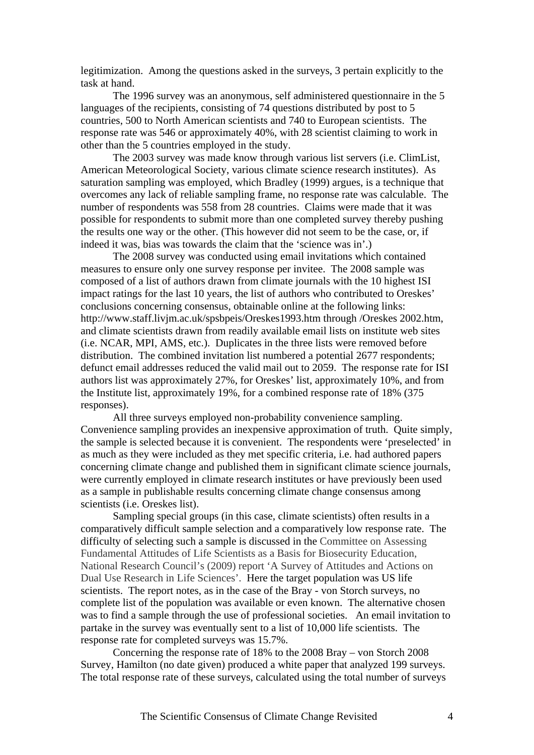legitimization. Among the questions asked in the surveys, 3 pertain explicitly to the task at hand.

 The 1996 survey was an anonymous, self administered questionnaire in the 5 languages of the recipients, consisting of 74 questions distributed by post to 5 countries, 500 to North American scientists and 740 to European scientists. The response rate was 546 or approximately 40%, with 28 scientist claiming to work in other than the 5 countries employed in the study.

 The 2003 survey was made know through various list servers (i.e. ClimList, American Meteorological Society, various climate science research institutes). As saturation sampling was employed, which Bradley (1999) argues, is a technique that overcomes any lack of reliable sampling frame, no response rate was calculable. The number of respondents was 558 from 28 countries. Claims were made that it was possible for respondents to submit more than one completed survey thereby pushing the results one way or the other. (This however did not seem to be the case, or, if indeed it was, bias was towards the claim that the 'science was in'.)

 The 2008 survey was conducted using email invitations which contained measures to ensure only one survey response per invitee. The 2008 sample was composed of a list of authors drawn from climate journals with the 10 highest ISI impact ratings for the last 10 years, the list of authors who contributed to Oreskes' conclusions concerning consensus, obtainable online at the following links: http://www.staff.livjm.ac.uk/spsbpeis/Oreskes1993.htm through /Oreskes 2002.htm, and climate scientists drawn from readily available email lists on institute web sites (i.e. NCAR, MPI, AMS, etc.). Duplicates in the three lists were removed before distribution. The combined invitation list numbered a potential 2677 respondents; defunct email addresses reduced the valid mail out to 2059. The response rate for ISI authors list was approximately 27%, for Oreskes' list, approximately 10%, and from the Institute list, approximately 19%, for a combined response rate of 18% (375 responses).

 All three surveys employed non-probability convenience sampling. Convenience sampling provides an inexpensive approximation of truth. Quite simply, the sample is selected because it is convenient. The respondents were 'preselected' in as much as they were included as they met specific criteria, i.e. had authored papers concerning climate change and published them in significant climate science journals, were currently employed in climate research institutes or have previously been used as a sample in publishable results concerning climate change consensus among scientists (i.e. Oreskes list).

 Sampling special groups (in this case, climate scientists) often results in a comparatively difficult sample selection and a comparatively low response rate. The difficulty of selecting such a sample is discussed in the Committee on Assessing Fundamental Attitudes of Life Scientists as a Basis for Biosecurity Education, National Research Council's (2009) report 'A Survey of Attitudes and Actions on Dual Use Research in Life Sciences'. Here the target population was US life scientists. The report notes, as in the case of the Bray - von Storch surveys, no complete list of the population was available or even known. The alternative chosen was to find a sample through the use of professional societies. An email invitation to partake in the survey was eventually sent to a list of 10,000 life scientists. The response rate for completed surveys was 15.7%.

 Concerning the response rate of 18% to the 2008 Bray – von Storch 2008 Survey, Hamilton (no date given) produced a white paper that analyzed 199 surveys. The total response rate of these surveys, calculated using the total number of surveys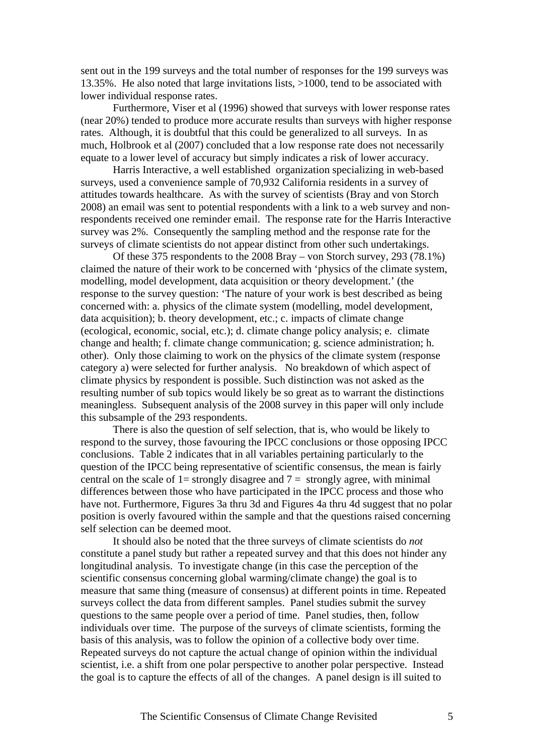sent out in the 199 surveys and the total number of responses for the 199 surveys was 13.35%. He also noted that large invitations lists, >1000, tend to be associated with lower individual response rates.

 Furthermore, Viser et al (1996) showed that surveys with lower response rates (near 20%) tended to produce more accurate results than surveys with higher response rates. Although, it is doubtful that this could be generalized to all surveys. In as much, Holbrook et al (2007) concluded that a low response rate does not necessarily equate to a lower level of accuracy but simply indicates a risk of lower accuracy.

 Harris Interactive, a well established organization specializing in web-based surveys, used a convenience sample of 70,932 California residents in a survey of attitudes towards healthcare. As with the survey of scientists (Bray and von Storch 2008) an email was sent to potential respondents with a link to a web survey and nonrespondents received one reminder email. The response rate for the Harris Interactive survey was 2%. Consequently the sampling method and the response rate for the surveys of climate scientists do not appear distinct from other such undertakings.

Of these 375 respondents to the 2008 Bray – von Storch survey, 293 (78.1%) claimed the nature of their work to be concerned with 'physics of the climate system, modelling, model development, data acquisition or theory development.' (the response to the survey question: 'The nature of your work is best described as being concerned with: a. physics of the climate system (modelling, model development, data acquisition); b. theory development, etc.; c. impacts of climate change (ecological, economic, social, etc.); d. climate change policy analysis; e. climate change and health; f. climate change communication; g. science administration; h. other). Only those claiming to work on the physics of the climate system (response category a) were selected for further analysis. No breakdown of which aspect of climate physics by respondent is possible. Such distinction was not asked as the resulting number of sub topics would likely be so great as to warrant the distinctions meaningless. Subsequent analysis of the 2008 survey in this paper will only include this subsample of the 293 respondents.

There is also the question of self selection, that is, who would be likely to respond to the survey, those favouring the IPCC conclusions or those opposing IPCC conclusions. Table 2 indicates that in all variables pertaining particularly to the question of the IPCC being representative of scientific consensus, the mean is fairly central on the scale of 1= strongly disagree and  $7 =$  strongly agree, with minimal differences between those who have participated in the IPCC process and those who have not. Furthermore, Figures 3a thru 3d and Figures 4a thru 4d suggest that no polar position is overly favoured within the sample and that the questions raised concerning self selection can be deemed moot.

It should also be noted that the three surveys of climate scientists do *not* constitute a panel study but rather a repeated survey and that this does not hinder any longitudinal analysis. To investigate change (in this case the perception of the scientific consensus concerning global warming/climate change) the goal is to measure that same thing (measure of consensus) at different points in time. Repeated surveys collect the data from different samples. Panel studies submit the survey questions to the same people over a period of time. Panel studies, then, follow individuals over time. The purpose of the surveys of climate scientists, forming the basis of this analysis, was to follow the opinion of a collective body over time. Repeated surveys do not capture the actual change of opinion within the individual scientist, i.e. a shift from one polar perspective to another polar perspective. Instead the goal is to capture the effects of all of the changes. A panel design is ill suited to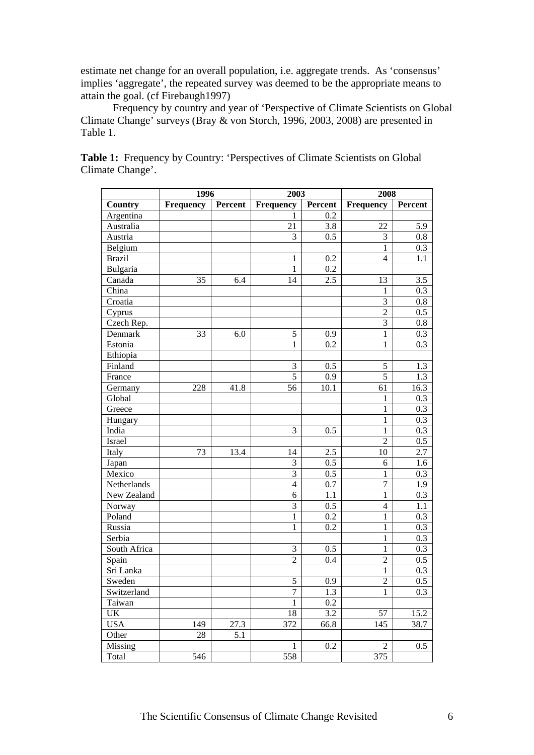estimate net change for an overall population, i.e. aggregate trends. As 'consensus' implies 'aggregate', the repeated survey was deemed to be the appropriate means to attain the goal. (cf Firebaugh1997)

Frequency by country and year of 'Perspective of Climate Scientists on Global Climate Change' surveys (Bray & von Storch, 1996, 2003, 2008) are presented in Table 1.

|               | 1996             |         | 2003           |         | 2008             |         |
|---------------|------------------|---------|----------------|---------|------------------|---------|
| Country       | <b>Frequency</b> | Percent | Frequency      | Percent | Frequency        | Percent |
| Argentina     |                  |         | 1              | 0.2     |                  |         |
| Australia     |                  |         | 21             | 3.8     | 22               | 5.9     |
| Austria       |                  |         | 3              | 0.5     | $\mathfrak{Z}$   | 0.8     |
| Belgium       |                  |         |                |         | 1                | 0.3     |
| <b>Brazil</b> |                  |         | 1              | 0.2     | $\overline{4}$   | 1.1     |
| Bulgaria      |                  |         | 1              | 0.2     |                  |         |
| Canada        | 35               | 6.4     | 14             | 2.5     | 13               | 3.5     |
| China         |                  |         |                |         | 1                | 0.3     |
| Croatia       |                  |         |                |         | 3                | 0.8     |
| Cyprus        |                  |         |                |         | $\overline{2}$   | 0.5     |
| Czech Rep.    |                  |         |                |         | 3                | 0.8     |
| Denmark       | 33               | 6.0     | 5              | 0.9     | $\,1$            | 0.3     |
| Estonia       |                  |         | 1              | 0.2     | $\mathbf{1}$     | 0.3     |
| Ethiopia      |                  |         |                |         |                  |         |
| Finland       |                  |         | $\mathfrak{Z}$ | 0.5     | 5                | 1.3     |
| France        |                  |         | 5              | 0.9     | $\overline{5}$   | 1.3     |
| Germany       | 228              | 41.8    | 56             | 10.1    | 61               | 16.3    |
| Global        |                  |         |                |         | 1                | 0.3     |
| Greece        |                  |         |                |         | $\mathbf{1}$     | 0.3     |
| Hungary       |                  |         |                |         | $\mathbf{1}$     | 0.3     |
| India         |                  |         | 3              | 0.5     | $\mathbf{1}$     | 0.3     |
| Israel        |                  |         |                |         | $\overline{2}$   | $0.5\,$ |
| Italy         | 73               | 13.4    | 14             | 2.5     | 10               | 2.7     |
| Japan         |                  |         | $\mathfrak{Z}$ | 0.5     | 6                | 1.6     |
| Mexico        |                  |         | $\overline{3}$ | 0.5     | 1                | 0.3     |
| Netherlands   |                  |         | $\overline{4}$ | 0.7     | $\boldsymbol{7}$ | 1.9     |
| New Zealand   |                  |         | 6              | 1.1     | $\mathbf{1}$     | 0.3     |
| Norway        |                  |         | 3              | 0.5     | $\overline{4}$   | 1.1     |
| Poland        |                  |         | $\mathbf{1}$   | 0.2     | $\mathbf{1}$     | 0.3     |
| Russia        |                  |         | 1              | 0.2     | $\mathbf{1}$     | 0.3     |
| Serbia        |                  |         |                |         | $\mathbf{1}$     | 0.3     |
| South Africa  |                  |         | $\mathfrak{Z}$ | 0.5     | $\mathbf{1}$     | 0.3     |
| Spain         |                  |         | $\overline{2}$ | 0.4     | $\overline{c}$   | $0.5\,$ |
| Sri Lanka     |                  |         |                |         | $\,1$            | 0.3     |
| Sweden        |                  |         | 5              | 0.9     | $\overline{2}$   | $0.5\,$ |
| Switzerland   |                  |         | 7              | 1.3     | 1                | 0.3     |
| Taiwan        |                  |         | $\mathbf{1}$   | 0.2     |                  |         |
| UK            |                  |         | 18             | 3.2     | 57               | 15.2    |
| <b>USA</b>    | 149              | 27.3    | 372            | 66.8    | 145              | 38.7    |
| Other         | 28               | 5.1     |                |         |                  |         |
| Missing       |                  |         | 1              | 0.2     | $\overline{c}$   | 0.5     |
| Total         | 546              |         | 558            |         | 375              |         |

Table 1: Frequency by Country: 'Perspectives of Climate Scientists on Global Climate Change'.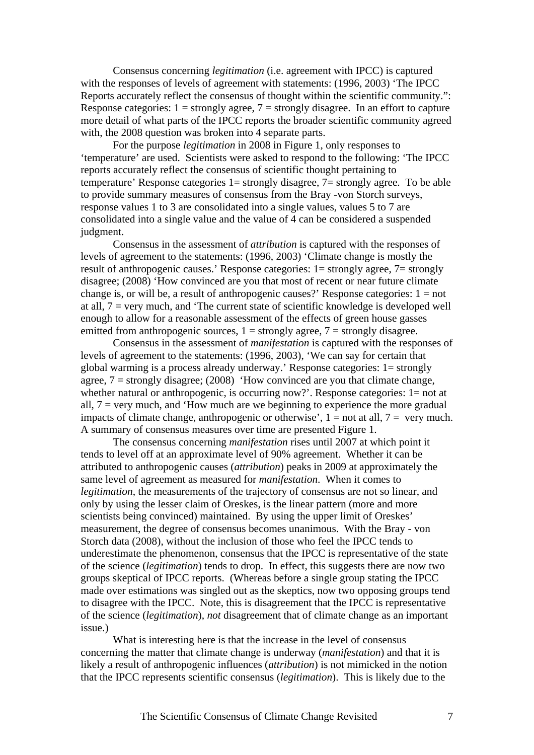Consensus concerning *legitimation* (i.e. agreement with IPCC) is captured with the responses of levels of agreement with statements: (1996, 2003) 'The IPCC Reports accurately reflect the consensus of thought within the scientific community.": Response categories:  $1 =$  strongly agree,  $7 =$  strongly disagree. In an effort to capture more detail of what parts of the IPCC reports the broader scientific community agreed with, the 2008 question was broken into 4 separate parts.

 For the purpose *legitimation* in 2008 in Figure 1, only responses to 'temperature' are used. Scientists were asked to respond to the following: 'The IPCC reports accurately reflect the consensus of scientific thought pertaining to temperature' Response categories 1= strongly disagree, 7= strongly agree. To be able to provide summary measures of consensus from the Bray -von Storch surveys, response values 1 to 3 are consolidated into a single values, values 5 to 7 are consolidated into a single value and the value of 4 can be considered a suspended judgment.

 Consensus in the assessment of *attribution* is captured with the responses of levels of agreement to the statements: (1996, 2003) 'Climate change is mostly the result of anthropogenic causes.' Response categories: 1= strongly agree, 7= strongly disagree; (2008) 'How convinced are you that most of recent or near future climate change is, or will be, a result of anthropogenic causes?' Response categories:  $1 = not$ at all, 7 = very much, and 'The current state of scientific knowledge is developed well enough to allow for a reasonable assessment of the effects of green house gasses emitted from anthropogenic sources,  $1 =$  strongly agree,  $7 =$  strongly disagree.

 Consensus in the assessment of *manifestation* is captured with the responses of levels of agreement to the statements: (1996, 2003), 'We can say for certain that global warming is a process already underway.' Response categories: 1= strongly agree,  $7 =$  strongly disagree; (2008) 'How convinced are you that climate change, whether natural or anthropogenic, is occurring now?'. Response categories: 1= not at all,  $7 = \text{very much, and 'How much are we beginning to experience the more gradual.}$ impacts of climate change, anthropogenic or otherwise',  $1 =$  not at all,  $7 =$  very much. A summary of consensus measures over time are presented Figure 1.

 The consensus concerning *manifestation* rises until 2007 at which point it tends to level off at an approximate level of 90% agreement. Whether it can be attributed to anthropogenic causes (*attribution*) peaks in 2009 at approximately the same level of agreement as measured for *manifestation*. When it comes to *legitimation*, the measurements of the trajectory of consensus are not so linear, and only by using the lesser claim of Oreskes, is the linear pattern (more and more scientists being convinced) maintained. By using the upper limit of Oreskes' measurement, the degree of consensus becomes unanimous. With the Bray - von Storch data (2008), without the inclusion of those who feel the IPCC tends to underestimate the phenomenon, consensus that the IPCC is representative of the state of the science (*legitimation*) tends to drop. In effect, this suggests there are now two groups skeptical of IPCC reports. (Whereas before a single group stating the IPCC made over estimations was singled out as the skeptics, now two opposing groups tend to disagree with the IPCC. Note, this is disagreement that the IPCC is representative of the science (*legitimation*), *not* disagreement that of climate change as an important issue.)

 What is interesting here is that the increase in the level of consensus concerning the matter that climate change is underway (*manifestation*) and that it is likely a result of anthropogenic influences (*attribution*) is not mimicked in the notion that the IPCC represents scientific consensus (*legitimation*). This is likely due to the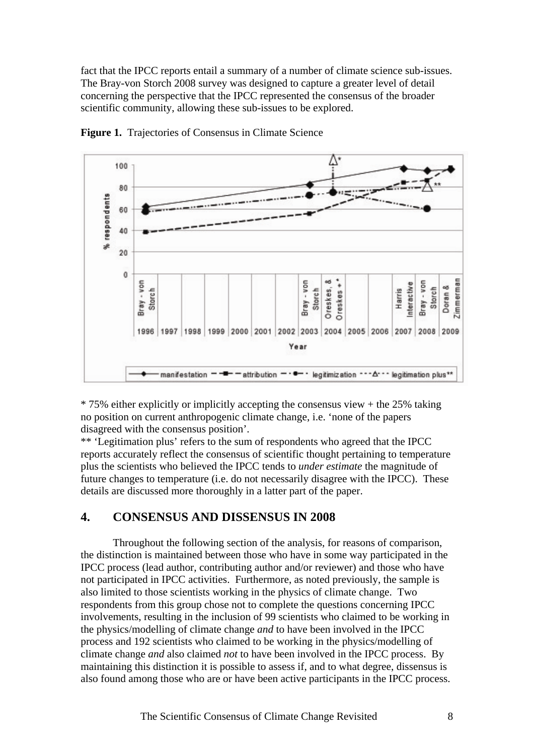fact that the IPCC reports entail a summary of a number of climate science sub-issues. The Bray-von Storch 2008 survey was designed to capture a greater level of detail concerning the perspective that the IPCC represented the consensus of the broader scientific community, allowing these sub-issues to be explored.



Figure 1. Trajectories of Consensus in Climate Science

\* 75% either explicitly or implicitly accepting the consensus view + the 25% taking no position on current anthropogenic climate change, i.e. 'none of the papers disagreed with the consensus position'.

\*\* 'Legitimation plus' refers to the sum of respondents who agreed that the IPCC reports accurately reflect the consensus of scientific thought pertaining to temperature plus the scientists who believed the IPCC tends to *under estimate* the magnitude of future changes to temperature (i.e. do not necessarily disagree with the IPCC). These details are discussed more thoroughly in a latter part of the paper.

### **4. CONSENSUS AND DISSENSUS IN 2008**

 Throughout the following section of the analysis, for reasons of comparison, the distinction is maintained between those who have in some way participated in the IPCC process (lead author, contributing author and/or reviewer) and those who have not participated in IPCC activities. Furthermore, as noted previously, the sample is also limited to those scientists working in the physics of climate change. Two respondents from this group chose not to complete the questions concerning IPCC involvements, resulting in the inclusion of 99 scientists who claimed to be working in the physics/modelling of climate change *and* to have been involved in the IPCC process and 192 scientists who claimed to be working in the physics/modelling of climate change *and* also claimed *not* to have been involved in the IPCC process. By maintaining this distinction it is possible to assess if, and to what degree, dissensus is also found among those who are or have been active participants in the IPCC process.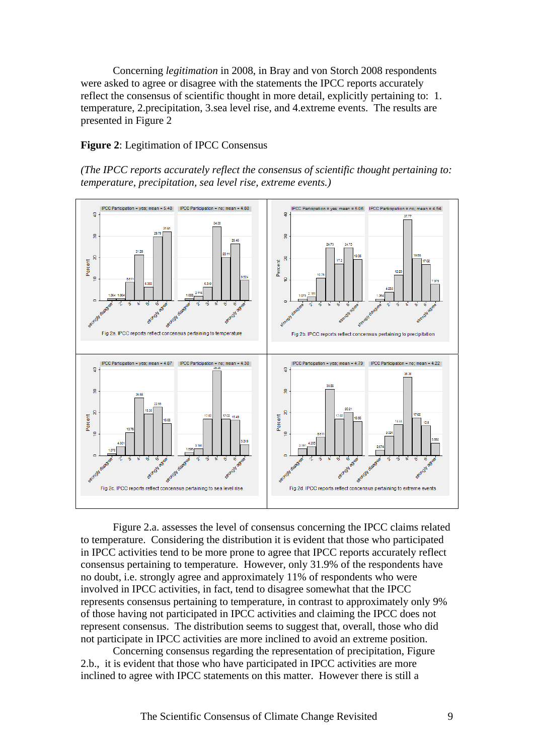Concerning *legitimation* in 2008, in Bray and von Storch 2008 respondents were asked to agree or disagree with the statements the IPCC reports accurately reflect the consensus of scientific thought in more detail, explicitly pertaining to: 1. temperature, 2.precipitation, 3.sea level rise, and 4.extreme events. The results are presented in Figure 2

#### **Figure 2**: Legitimation of IPCC Consensus

*(The IPCC reports accurately reflect the consensus of scientific thought pertaining to: temperature, precipitation, sea level rise, extreme events.)* 



 Figure 2.a. assesses the level of consensus concerning the IPCC claims related to temperature. Considering the distribution it is evident that those who participated in IPCC activities tend to be more prone to agree that IPCC reports accurately reflect consensus pertaining to temperature. However, only 31.9% of the respondents have no doubt, i.e. strongly agree and approximately 11% of respondents who were involved in IPCC activities, in fact, tend to disagree somewhat that the IPCC represents consensus pertaining to temperature, in contrast to approximately only 9% of those having not participated in IPCC activities and claiming the IPCC does not represent consensus. The distribution seems to suggest that, overall, those who did not participate in IPCC activities are more inclined to avoid an extreme position.

 Concerning consensus regarding the representation of precipitation, Figure 2.b., it is evident that those who have participated in IPCC activities are more inclined to agree with IPCC statements on this matter. However there is still a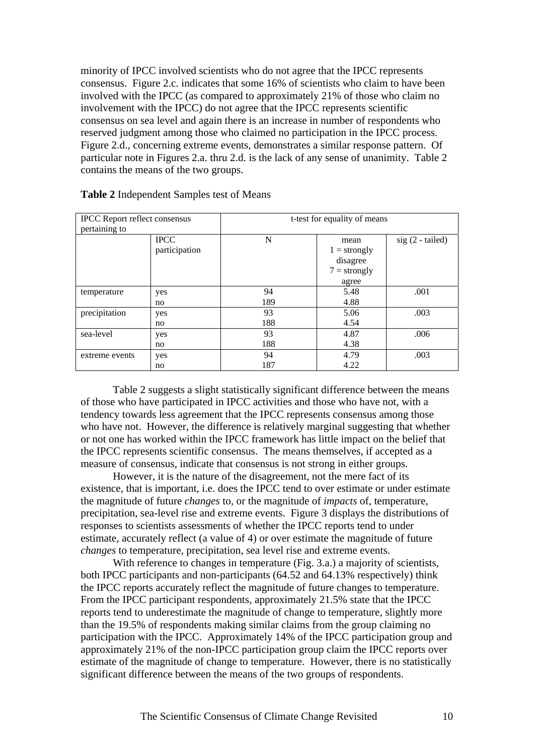minority of IPCC involved scientists who do not agree that the IPCC represents consensus. Figure 2.c. indicates that some 16% of scientists who claim to have been involved with the IPCC (as compared to approximately 21% of those who claim no involvement with the IPCC) do not agree that the IPCC represents scientific consensus on sea level and again there is an increase in number of respondents who reserved judgment among those who claimed no participation in the IPCC process. Figure 2.d., concerning extreme events, demonstrates a similar response pattern. Of particular note in Figures 2.a. thru 2.d. is the lack of any sense of unanimity. Table 2 contains the means of the two groups.

| <b>IPCC</b> Report reflect consensus |               | t-test for equality of means |                |                   |  |
|--------------------------------------|---------------|------------------------------|----------------|-------------------|--|
| pertaining to                        |               |                              |                |                   |  |
|                                      | <b>IPCC</b>   | N                            | mean           | $sig(2 - tailed)$ |  |
|                                      | participation |                              | $1 =$ strongly |                   |  |
|                                      |               |                              | disagree       |                   |  |
|                                      |               |                              | $7 =$ strongly |                   |  |
|                                      |               |                              | agree          |                   |  |
| temperature                          | yes           | 94                           | 5.48           | .001              |  |
|                                      | no            | 189                          | 4.88           |                   |  |
| precipitation                        | yes           | 93                           | 5.06           | .003              |  |
|                                      | no            | 188                          | 4.54           |                   |  |
| sea-level                            | yes           | 93                           | 4.87           | .006              |  |
|                                      | no            | 188                          | 4.38           |                   |  |
| extreme events                       | yes           | 94                           | 4.79           | .003              |  |
|                                      | no            | 187                          | 4.22           |                   |  |

#### **Table 2** Independent Samples test of Means

Table 2 suggests a slight statistically significant difference between the means of those who have participated in IPCC activities and those who have not, with a tendency towards less agreement that the IPCC represents consensus among those who have not. However, the difference is relatively marginal suggesting that whether or not one has worked within the IPCC framework has little impact on the belief that the IPCC represents scientific consensus. The means themselves, if accepted as a measure of consensus, indicate that consensus is not strong in either groups.

 However, it is the nature of the disagreement, not the mere fact of its existence, that is important, i.e. does the IPCC tend to over estimate or under estimate the magnitude of future *changes* to, or the magnitude of *impacts* of, temperature, precipitation, sea-level rise and extreme events. Figure 3 displays the distributions of responses to scientists assessments of whether the IPCC reports tend to under estimate, accurately reflect (a value of 4) or over estimate the magnitude of future *changes* to temperature, precipitation, sea level rise and extreme events.

With reference to changes in temperature (Fig. 3.a.) a majority of scientists, both IPCC participants and non-participants (64.52 and 64.13% respectively) think the IPCC reports accurately reflect the magnitude of future changes to temperature. From the IPCC participant respondents, approximately 21.5% state that the IPCC reports tend to underestimate the magnitude of change to temperature, slightly more than the 19.5% of respondents making similar claims from the group claiming no participation with the IPCC. Approximately 14% of the IPCC participation group and approximately 21% of the non-IPCC participation group claim the IPCC reports over estimate of the magnitude of change to temperature. However, there is no statistically significant difference between the means of the two groups of respondents.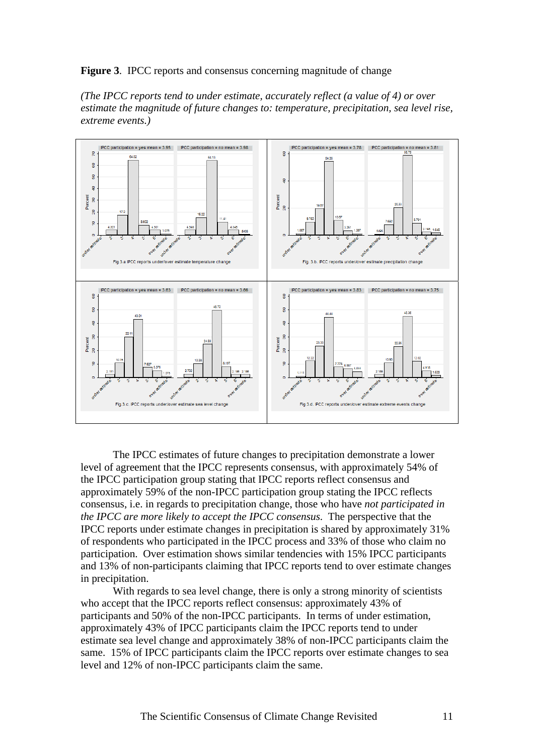#### **Figure 3**. IPCC reports and consensus concerning magnitude of change

*(The IPCC reports tend to under estimate, accurately reflect (a value of 4) or over estimate the magnitude of future changes to: temperature, precipitation, sea level rise, extreme events.)* 



 The IPCC estimates of future changes to precipitation demonstrate a lower level of agreement that the IPCC represents consensus, with approximately 54% of the IPCC participation group stating that IPCC reports reflect consensus and approximately 59% of the non-IPCC participation group stating the IPCC reflects consensus, i.e. in regards to precipitation change, those who have *not participated in the IPCC are more likely to accept the IPCC consensus*. The perspective that the IPCC reports under estimate changes in precipitation is shared by approximately 31% of respondents who participated in the IPCC process and 33% of those who claim no participation. Over estimation shows similar tendencies with 15% IPCC participants and 13% of non-participants claiming that IPCC reports tend to over estimate changes in precipitation.

 With regards to sea level change, there is only a strong minority of scientists who accept that the IPCC reports reflect consensus: approximately 43% of participants and 50% of the non-IPCC participants. In terms of under estimation, approximately 43% of IPCC participants claim the IPCC reports tend to under estimate sea level change and approximately 38% of non-IPCC participants claim the same. 15% of IPCC participants claim the IPCC reports over estimate changes to sea level and 12% of non-IPCC participants claim the same.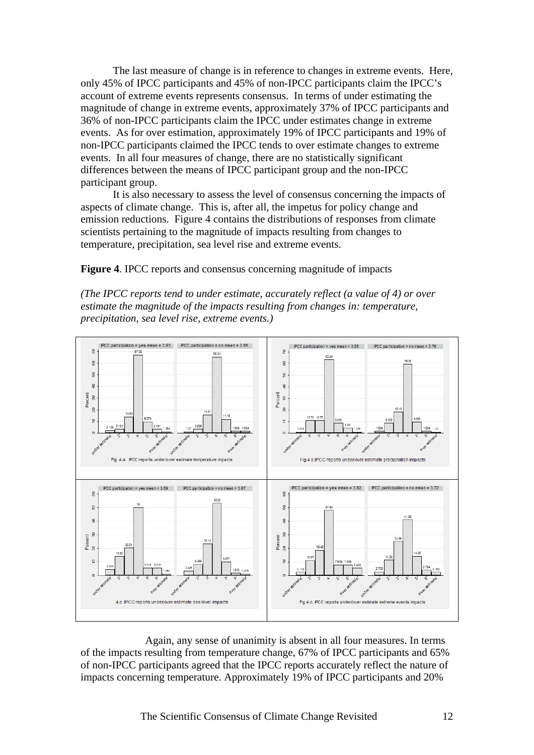The last measure of change is in reference to changes in extreme events. Here, only 45% of IPCC participants and 45% of non-IPCC participants claim the IPCC's account of extreme events represents consensus. In terms of under estimating the magnitude of change in extreme events, approximately 37% of IPCC participants and 36% of non-IPCC participants claim the IPCC under estimates change in extreme events. As for over estimation, approximately 19% of IPCC participants and 19% of non-IPCC participants claimed the IPCC tends to over estimate changes to extreme events. In all four measures of change, there are no statistically significant differences between the means of IPCC participant group and the non-IPCC participant group.

 It is also necessary to assess the level of consensus concerning the impacts of aspects of climate change. This is, after all, the impetus for policy change and emission reductions. Figure 4 contains the distributions of responses from climate scientists pertaining to the magnitude of impacts resulting from changes to temperature, precipitation, sea level rise and extreme events.

**Figure 4**. IPCC reports and consensus concerning magnitude of impacts

*(The IPCC reports tend to under estimate, accurately reflect (a value of 4) or over estimate the magnitude of the impacts resulting from changes in: temperature, precipitation, sea level rise, extreme events.)* 



 Again, any sense of unanimity is absent in all four measures. In terms of the impacts resulting from temperature change, 67% of IPCC participants and 65% of non-IPCC participants agreed that the IPCC reports accurately reflect the nature of impacts concerning temperature. Approximately 19% of IPCC participants and 20%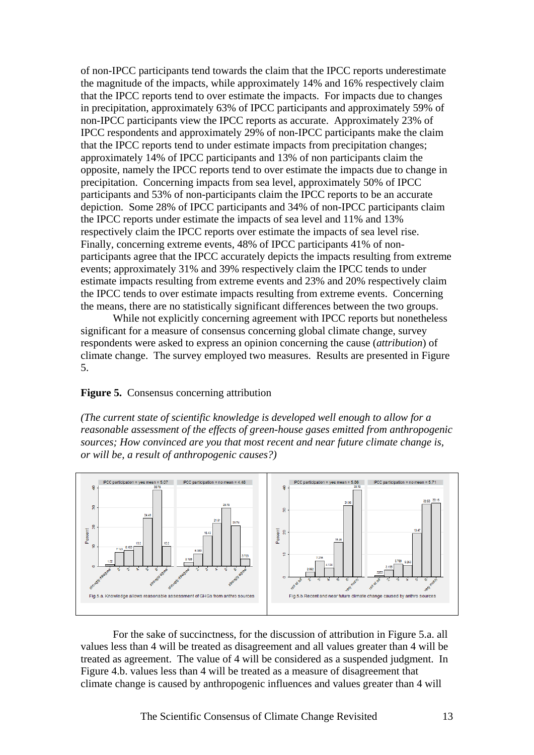of non-IPCC participants tend towards the claim that the IPCC reports underestimate the magnitude of the impacts, while approximately 14% and 16% respectively claim that the IPCC reports tend to over estimate the impacts. For impacts due to changes in precipitation, approximately 63% of IPCC participants and approximately 59% of non-IPCC participants view the IPCC reports as accurate. Approximately 23% of IPCC respondents and approximately 29% of non-IPCC participants make the claim that the IPCC reports tend to under estimate impacts from precipitation changes; approximately 14% of IPCC participants and 13% of non participants claim the opposite, namely the IPCC reports tend to over estimate the impacts due to change in precipitation. Concerning impacts from sea level, approximately 50% of IPCC participants and 53% of non-participants claim the IPCC reports to be an accurate depiction. Some 28% of IPCC participants and 34% of non-IPCC participants claim the IPCC reports under estimate the impacts of sea level and 11% and 13% respectively claim the IPCC reports over estimate the impacts of sea level rise. Finally, concerning extreme events, 48% of IPCC participants 41% of nonparticipants agree that the IPCC accurately depicts the impacts resulting from extreme events; approximately 31% and 39% respectively claim the IPCC tends to under estimate impacts resulting from extreme events and 23% and 20% respectively claim the IPCC tends to over estimate impacts resulting from extreme events. Concerning the means, there are no statistically significant differences between the two groups.

 While not explicitly concerning agreement with IPCC reports but nonetheless significant for a measure of consensus concerning global climate change, survey respondents were asked to express an opinion concerning the cause (*attribution*) of climate change. The survey employed two measures. Results are presented in Figure 5.

#### **Figure 5.** Consensus concerning attribution

*(The current state of scientific knowledge is developed well enough to allow for a reasonable assessment of the effects of green-house gases emitted from anthropogenic sources; How convinced are you that most recent and near future climate change is, or will be, a result of anthropogenic causes?)* 



For the sake of succinctness, for the discussion of attribution in Figure 5.a. all values less than 4 will be treated as disagreement and all values greater than 4 will be treated as agreement. The value of 4 will be considered as a suspended judgment. In Figure 4.b. values less than 4 will be treated as a measure of disagreement that climate change is caused by anthropogenic influences and values greater than 4 will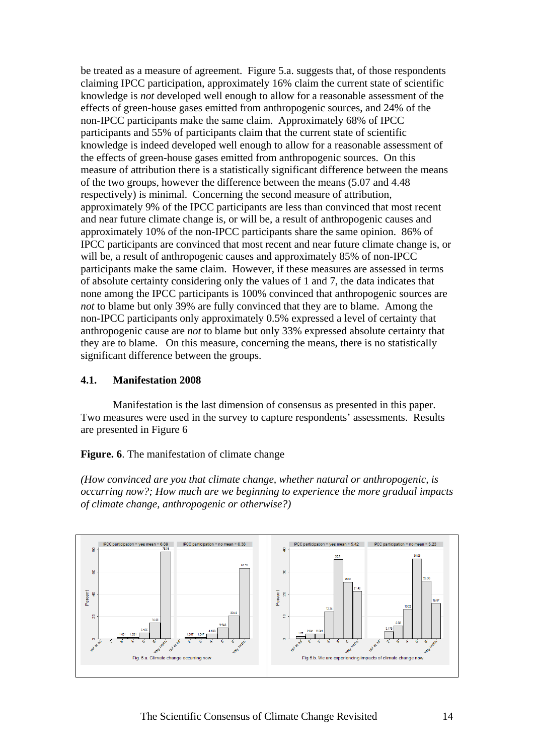be treated as a measure of agreement. Figure 5.a. suggests that, of those respondents claiming IPCC participation, approximately 16% claim the current state of scientific knowledge is *not* developed well enough to allow for a reasonable assessment of the effects of green-house gases emitted from anthropogenic sources, and 24% of the non-IPCC participants make the same claim. Approximately 68% of IPCC participants and 55% of participants claim that the current state of scientific knowledge is indeed developed well enough to allow for a reasonable assessment of the effects of green-house gases emitted from anthropogenic sources. On this measure of attribution there is a statistically significant difference between the means of the two groups, however the difference between the means (5.07 and 4.48 respectively) is minimal. Concerning the second measure of attribution, approximately 9% of the IPCC participants are less than convinced that most recent and near future climate change is, or will be, a result of anthropogenic causes and approximately 10% of the non-IPCC participants share the same opinion. 86% of IPCC participants are convinced that most recent and near future climate change is, or will be, a result of anthropogenic causes and approximately 85% of non-IPCC participants make the same claim. However, if these measures are assessed in terms of absolute certainty considering only the values of 1 and 7, the data indicates that none among the IPCC participants is 100% convinced that anthropogenic sources are *not* to blame but only 39% are fully convinced that they are to blame. Among the non-IPCC participants only approximately 0.5% expressed a level of certainty that anthropogenic cause are *not* to blame but only 33% expressed absolute certainty that they are to blame. On this measure, concerning the means, there is no statistically significant difference between the groups.

#### **4.1. Manifestation 2008**

 Manifestation is the last dimension of consensus as presented in this paper. Two measures were used in the survey to capture respondents' assessments. Results are presented in Figure 6

#### **Figure. 6**. The manifestation of climate change

*(How convinced are you that climate change, whether natural or anthropogenic, is occurring now?; How much are we beginning to experience the more gradual impacts of climate change, anthropogenic or otherwise?)* 

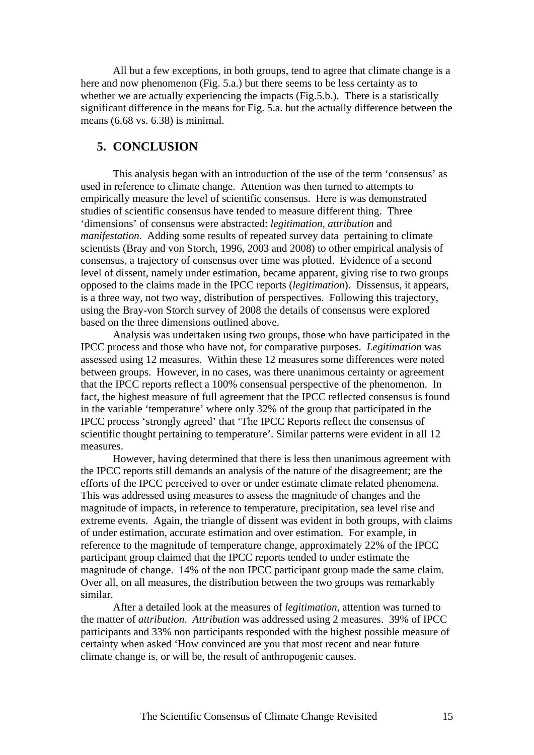All but a few exceptions, in both groups, tend to agree that climate change is a here and now phenomenon (Fig. 5.a.) but there seems to be less certainty as to whether we are actually experiencing the impacts (Fig.5.b.). There is a statistically significant difference in the means for Fig. 5.a. but the actually difference between the means (6.68 vs. 6.38) is minimal.

## **5. CONCLUSION**

 This analysis began with an introduction of the use of the term 'consensus' as used in reference to climate change. Attention was then turned to attempts to empirically measure the level of scientific consensus. Here is was demonstrated studies of scientific consensus have tended to measure different thing. Three 'dimensions' of consensus were abstracted: *legitimation*, *attribution* and *manifestation*. Adding some results of repeated survey data pertaining to climate scientists (Bray and von Storch, 1996, 2003 and 2008) to other empirical analysis of consensus, a trajectory of consensus over time was plotted. Evidence of a second level of dissent, namely under estimation, became apparent, giving rise to two groups opposed to the claims made in the IPCC reports (*legitimation*). Dissensus, it appears, is a three way, not two way, distribution of perspectives. Following this trajectory, using the Bray-von Storch survey of 2008 the details of consensus were explored based on the three dimensions outlined above.

 Analysis was undertaken using two groups, those who have participated in the IPCC process and those who have not, for comparative purposes. *Legitimation* was assessed using 12 measures. Within these 12 measures some differences were noted between groups. However, in no cases, was there unanimous certainty or agreement that the IPCC reports reflect a 100% consensual perspective of the phenomenon. In fact, the highest measure of full agreement that the IPCC reflected consensus is found in the variable 'temperature' where only 32% of the group that participated in the IPCC process 'strongly agreed' that 'The IPCC Reports reflect the consensus of scientific thought pertaining to temperature'. Similar patterns were evident in all 12 measures.

 However, having determined that there is less then unanimous agreement with the IPCC reports still demands an analysis of the nature of the disagreement; are the efforts of the IPCC perceived to over or under estimate climate related phenomena. This was addressed using measures to assess the magnitude of changes and the magnitude of impacts, in reference to temperature, precipitation, sea level rise and extreme events. Again, the triangle of dissent was evident in both groups, with claims of under estimation, accurate estimation and over estimation. For example, in reference to the magnitude of temperature change, approximately 22% of the IPCC participant group claimed that the IPCC reports tended to under estimate the magnitude of change. 14% of the non IPCC participant group made the same claim. Over all, on all measures, the distribution between the two groups was remarkably similar.

 After a detailed look at the measures of *legitimation*, attention was turned to the matter of *attribution*. *Attribution* was addressed using 2 measures. 39% of IPCC participants and 33% non participants responded with the highest possible measure of certainty when asked 'How convinced are you that most recent and near future climate change is, or will be, the result of anthropogenic causes.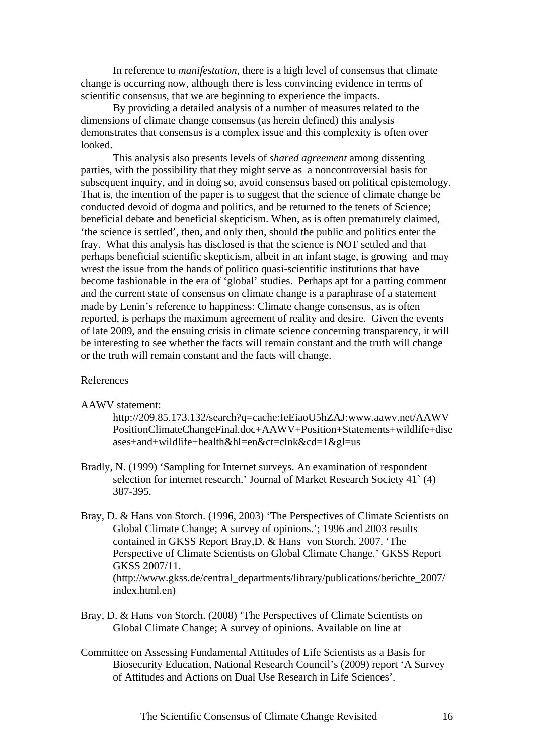In reference to *manifestation*, there is a high level of consensus that climate change is occurring now, although there is less convincing evidence in terms of scientific consensus, that we are beginning to experience the impacts.

 By providing a detailed analysis of a number of measures related to the dimensions of climate change consensus (as herein defined) this analysis demonstrates that consensus is a complex issue and this complexity is often over looked.

 This analysis also presents levels of *shared agreement* among dissenting parties, with the possibility that they might serve as a noncontroversial basis for subsequent inquiry, and in doing so, avoid consensus based on political epistemology. That is, the intention of the paper is to suggest that the science of climate change be conducted devoid of dogma and politics, and be returned to the tenets of Science; beneficial debate and beneficial skepticism. When, as is often prematurely claimed, 'the science is settled', then, and only then, should the public and politics enter the fray. What this analysis has disclosed is that the science is NOT settled and that perhaps beneficial scientific skepticism, albeit in an infant stage, is growing and may wrest the issue from the hands of politico quasi-scientific institutions that have become fashionable in the era of 'global' studies. Perhaps apt for a parting comment and the current state of consensus on climate change is a paraphrase of a statement made by Lenin's reference to happiness: Climate change consensus, as is often reported, is perhaps the maximum agreement of reality and desire. Given the events of late 2009, and the ensuing crisis in climate science concerning transparency, it will be interesting to see whether the facts will remain constant and the truth will change or the truth will remain constant and the facts will change.

#### References

AAWV statement:

 http://209.85.173.132/search?q=cache:IeEiaoU5hZAJ:www.aawv.net/AAWV PositionClimateChangeFinal.doc+AAWV+Position+Statements+wildlife+dise ases+and+wildlife+health&hl=en&ct=clnk&cd=1&gl=us

- Bradly, N. (1999) 'Sampling for Internet surveys. An examination of respondent selection for internet research.' Journal of Market Research Society 41` (4) 387-395.
- Bray, D. & Hans von Storch. (1996, 2003) 'The Perspectives of Climate Scientists on Global Climate Change; A survey of opinions.'; 1996 and 2003 results contained in GKSS Report Bray,D. & Hans von Storch, 2007. 'The Perspective of Climate Scientists on Global Climate Change.' GKSS Report GKSS 2007/11. (http://www.gkss.de/central\_departments/library/publications/berichte\_2007/ index.html.en)
- Bray, D. & Hans von Storch. (2008) 'The Perspectives of Climate Scientists on Global Climate Change; A survey of opinions. Available on line at
- Committee on Assessing Fundamental Attitudes of Life Scientists as a Basis for Biosecurity Education, National Research Council's (2009) report 'A Survey of Attitudes and Actions on Dual Use Research in Life Sciences'.